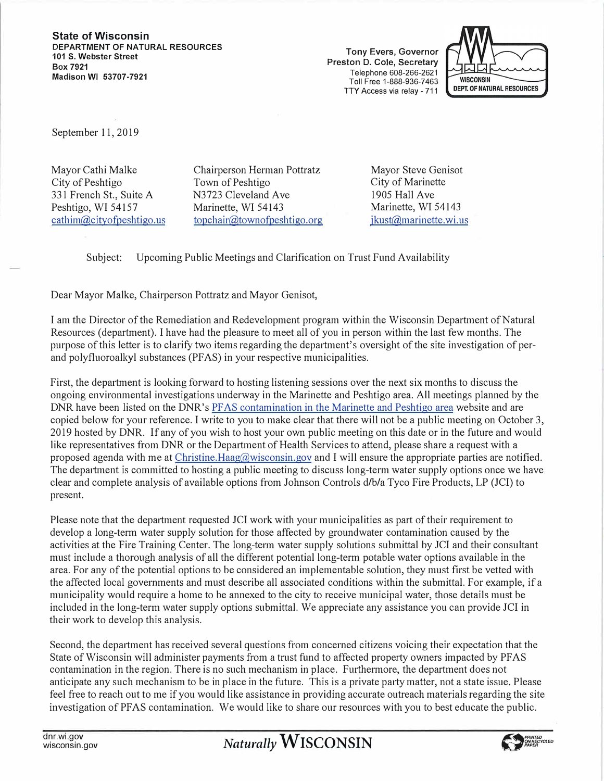**State of Wisconsin DEPARTMENT OF NATURAL RESOURCES 101 S. Webster Street Box 7921 Madison WI 53707-7921** 

**Tony Evers, Governor Preston D. Cole, Secretary**  Telephone 608-266-2621 Toll Free 1-888-936-7463 TTY Access via relay - 711



September 11, 2019

Mayor Cathi Malke City of Peshtigo 331 French St., Suite A Peshtigo, WI 54157 cathim@cityofpeshtigo.us Chairperson Herman Pottratz Town of Peshtigo N3723 Cleveland Ave Marinette, WI 54143 topchair@townofpeshtigo.org Mayor Steve Genisot City of Marinette 1905 Hall Ave Marinette, WI 54143 jkust@marinette.wi.us

Subject: Upcoming Public Meetings and Clarification on Trust Fund Availability

Dear Mayor Malke, Chairperson Pottratz and Mayor Genisot,

I am the Director of the Remediation and Redevelopment program within the Wisconsin Department of Natural Resources (department). I have had the pleasure to meet all of you in person within the last few months. The purpose of this letter is to clarify two items regarding the department's oversight of the site investigation of perand polyfluoroalkyl substances (PF AS) in your respective municipalities.

First, the department is looking forward to hosting listening sessions over the next six months to discuss the ongoing environmental investigations underway in the Marinette and Peshtigo area. All meetings planned by the DNR have been listed on the DNR's PFAS contamination in the Marinette and Peshtigo area website and are copied below for your reference. I write to you to make clear that there will not be a public meeting on October 3, 2019 hosted by DNR. If any of you wish to host your own public meeting on this date or in the future and would like representatives from DNR or the Depattment of Health Services to attend, please share a request with a proposed agenda with me at Christine.Haag@wisconsin.gov and I will ensure the appropriate patties are notified. The depattment is committed to hosting a public meeting to discuss long-term water supply options once we have clear and complete analysis of available options from Johnson Controls d/b/a Tyco Fire Products, LP (JCI) to present.

Please note that the department requested JCI work with your municipalities as part of their requirement to develop a long-term water supply solution for those affected by groundwater contamination caused by the activities at the Fire Training Center. The long-term water supply solutions submittal by JCI and their consultant must include a thorough analysis of all the different potential long-term potable water options available in the area. For any of the potential options to be considered an implementable solution, they must first be vetted with the affected local governments and must describe all associated conditions within the submittal. For example, if a municipality would require a home to be annexed to the city to receive municipal water, those details must be included in the long-term water supply options submittal. We appreciate any assistance you can provide JCI in their work to develop this analysis.

Second, the depattment has received several questions from concerned citizens voicing their expectation that the State of Wisconsin will administer payments from a trust fund to affected property owners impacted by PFAS contamination in the region. There is no such mechanism in place. Furthermore, the department does not anticipate any such mechanism to be in place in the future. This is a private patty matter, not a state issue. Please feel free to reach out to me if you would like assistance in providing accurate outreach materials regarding the site investigation of PFAS contamination. We would like to share our resources with you to best educate the public.